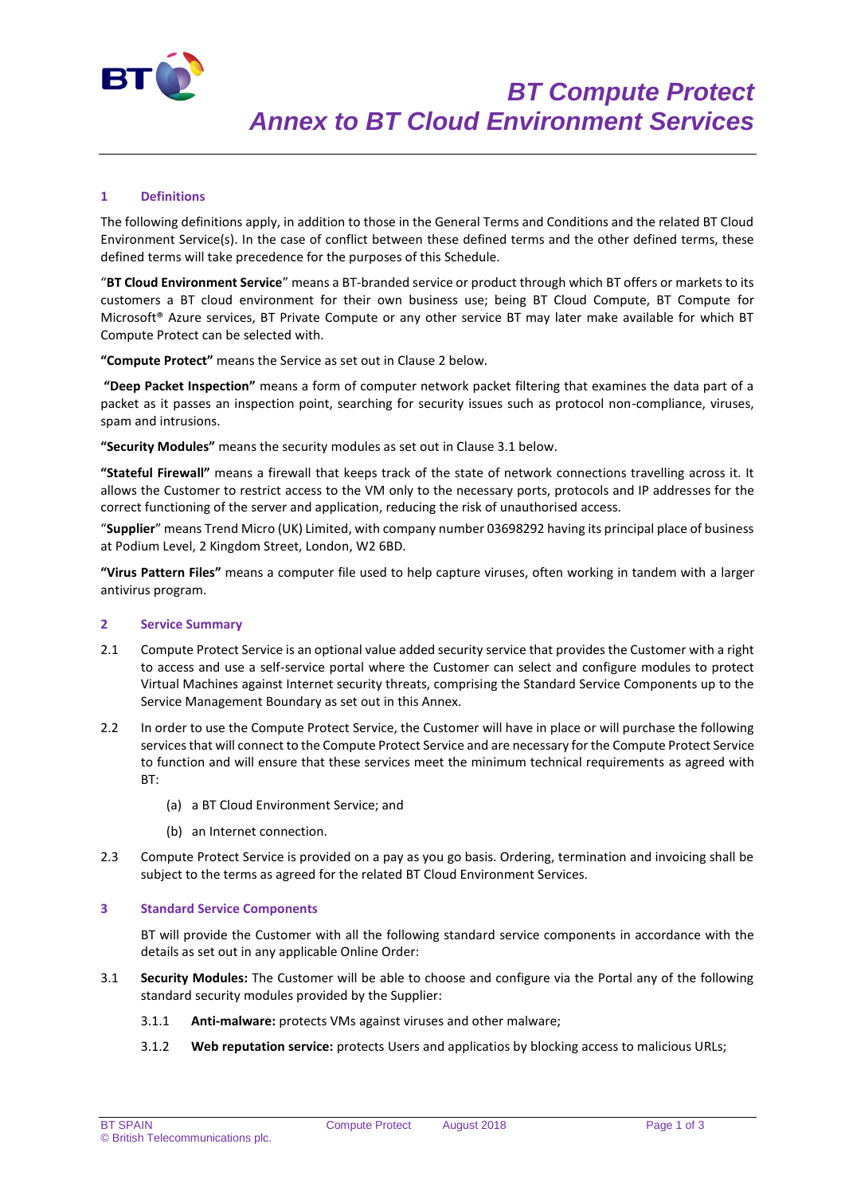

# **1 Definitions**

The following definitions apply, in addition to those in the General Terms and Conditions and the related BT Cloud Environment Service(s). In the case of conflict between these defined terms and the other defined terms, these defined terms will take precedence for the purposes of this Schedule.

"**BT Cloud Environment Service**" means a BT-branded service or product through which BT offers or markets to its customers a BT cloud environment for their own business use; being BT Cloud Compute, BT Compute for Microsoft® Azure services, BT Private Compute or any other service BT may later make available for which BT Compute Protect can be selected with.

**"Compute Protect"** means the Service as set out in Clause 2 below.

**"Deep Packet Inspection"** means a form of computer network packet filtering that examines the data part of a packet as it passes an inspection point, searching for security issues such as protocol non-compliance, viruses, spam and intrusions.

**"Security Modules"** means the security modules as set out in Clause 3.1 below.

**"Stateful Firewall"** means a firewall that keeps track of the state of network connections travelling across it. It allows the Customer to restrict access to the VM only to the necessary ports, protocols and IP addresses for the correct functioning of the server and application, reducing the risk of unauthorised access.

"**Supplier**" means Trend Micro (UK) Limited, with company number 03698292 having its principal place of business at Podium Level, 2 Kingdom Street, London, W2 6BD.

**"Virus Pattern Files"** means a computer file used to help capture viruses, often working in tandem with a larger antivirus program.

### **2 Service Summary**

- 2.1 Compute Protect Service is an optional value added security service that provides the Customer with a right to access and use a self-service portal where the Customer can select and configure modules to protect Virtual Machines against Internet security threats, comprising the Standard Service Components up to the Service Management Boundary as set out in this Annex.
- 2.2 In order to use the Compute Protect Service, the Customer will have in place or will purchase the following services that will connect to the Compute Protect Service and are necessary for the Compute Protect Service to function and will ensure that these services meet the minimum technical requirements as agreed with BT:
	- (a) a BT Cloud Environment Service; and
	- (b) an Internet connection.
- 2.3 Compute Protect Service is provided on a pay as you go basis. Ordering, termination and invoicing shall be subject to the terms as agreed for the related BT Cloud Environment Services.

### **3 Standard Service Components**

BT will provide the Customer with all the following standard service components in accordance with the details as set out in any applicable Online Order:

- 3.1 **Security Modules:** The Customer will be able to choose and configure via the Portal any of the following standard security modules provided by the Supplier:
	- 3.1.1 **Anti-malware:** protects VMs against viruses and other malware;
	- 3.1.2 **Web reputation service:** protects Users and applicatios by blocking access to malicious URLs;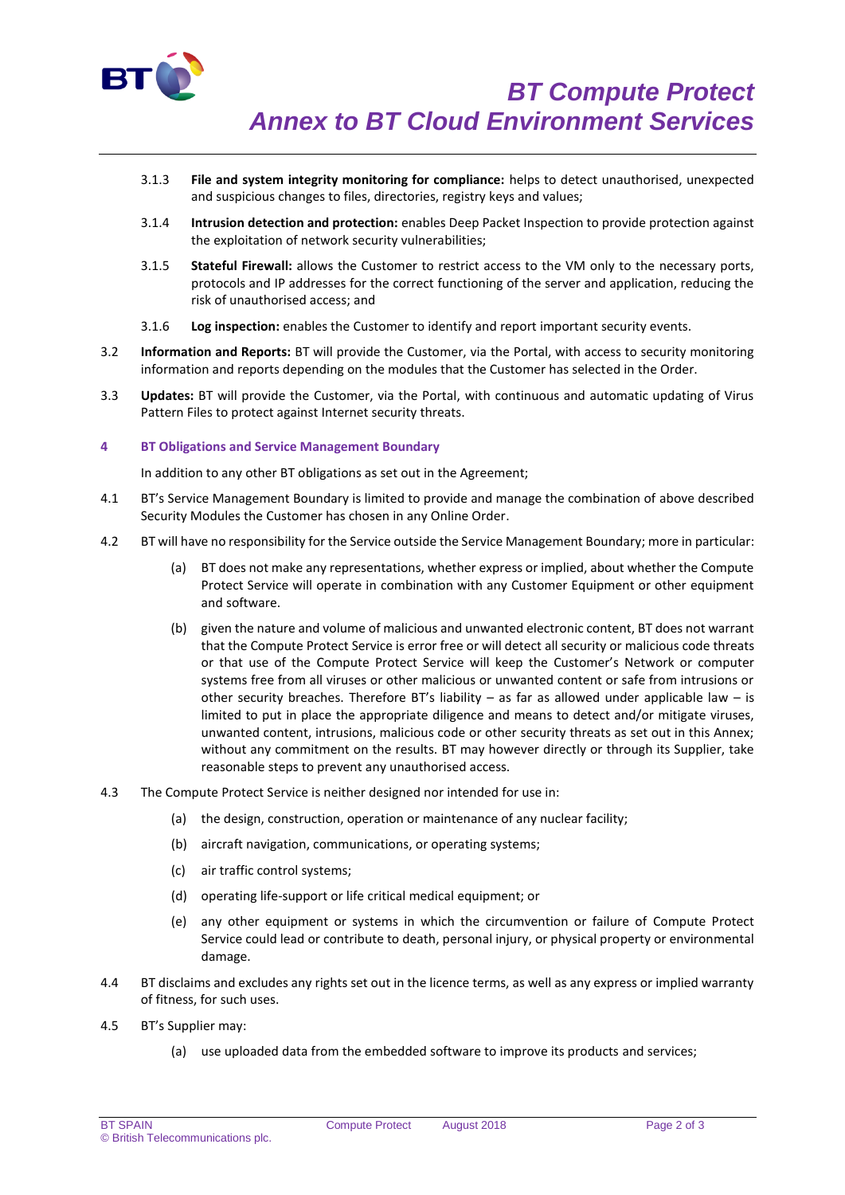

- 3.1.3 **File and system integrity monitoring for compliance:** helps to detect unauthorised, unexpected and suspicious changes to files, directories, registry keys and values;
- 3.1.4 **Intrusion detection and protection:** enables Deep Packet Inspection to provide protection against the exploitation of network security vulnerabilities;
- 3.1.5 **Stateful Firewall:** allows the Customer to restrict access to the VM only to the necessary ports, protocols and IP addresses for the correct functioning of the server and application, reducing the risk of unauthorised access; and
- 3.1.6 **Log inspection:** enables the Customer to identify and report important security events.
- 3.2 **Information and Reports:** BT will provide the Customer, via the Portal, with access to security monitoring information and reports depending on the modules that the Customer has selected in the Order.
- 3.3 **Updates:** BT will provide the Customer, via the Portal, with continuous and automatic updating of Virus Pattern Files to protect against Internet security threats.

## **4 BT Obligations and Service Management Boundary**

In addition to any other BT obligations as set out in the Agreement;

- 4.1 BT's Service Management Boundary is limited to provide and manage the combination of above described Security Modules the Customer has chosen in any Online Order.
- 4.2 BT will have no responsibility for the Service outside the Service Management Boundary; more in particular:
	- (a) BT does not make any representations, whether express or implied, about whether the Compute Protect Service will operate in combination with any Customer Equipment or other equipment and software.
	- (b) given the nature and volume of malicious and unwanted electronic content, BT does not warrant that the Compute Protect Service is error free or will detect all security or malicious code threats or that use of the Compute Protect Service will keep the Customer's Network or computer systems free from all viruses or other malicious or unwanted content or safe from intrusions or other security breaches. Therefore BT's liability – as far as allowed under applicable law – is limited to put in place the appropriate diligence and means to detect and/or mitigate viruses, unwanted content, intrusions, malicious code or other security threats as set out in this Annex; without any commitment on the results. BT may however directly or through its Supplier, take reasonable steps to prevent any unauthorised access.
- 4.3 The Compute Protect Service is neither designed nor intended for use in:
	- (a) the design, construction, operation or maintenance of any nuclear facility;
	- (b) aircraft navigation, communications, or operating systems;
	- (c) air traffic control systems;
	- (d) operating life-support or life critical medical equipment; or
	- (e) any other equipment or systems in which the circumvention or failure of Compute Protect Service could lead or contribute to death, personal injury, or physical property or environmental damage.
- 4.4 BT disclaims and excludes any rights set out in the licence terms, as well as any express or implied warranty of fitness, for such uses.
- 4.5 BT's Supplier may:
	- (a) use uploaded data from the embedded software to improve its products and services;